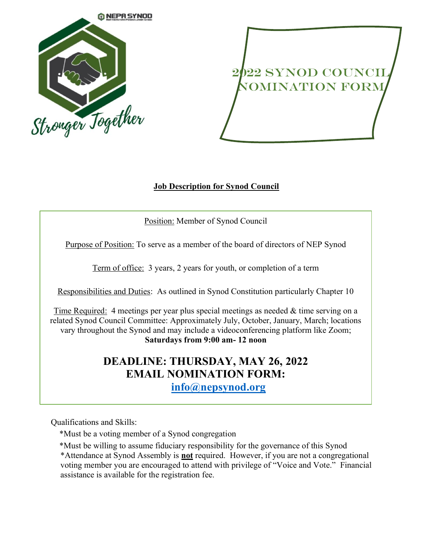

## 2022 SYNOD COUNCIL Nomination Form

## **Job Description for Synod Council**

Position: Member of Synod Council

Purpose of Position: To serve as a member of the board of directors of NEP Synod

Term of office: 3 years, 2 years for youth, or completion of a term

Responsibilities and Duties: As outlined in Synod Constitution particularly Chapter 10

Time Required: 4 meetings per year plus special meetings as needed & time serving on a related Synod Council Committee: Approximately July, October, January, March; locations vary throughout the Synod and may include a videoconferencing platform like Zoom; **Saturdays from 9:00 am- 12 noon**

## **DEADLINE: THURSDAY, MAY 26, 2022 EMAIL NOMINATION FORM: [info@nepsynod.org](mailto:info@nepsynod.org)**

Qualifications and Skills:

\*Must be a voting member of a Synod congregation

\*Must be willing to assume fiduciary responsibility for the governance of this Synod

\*Attendance at Synod Assembly is **not** required. However, if you are not a congregational voting member you are encouraged to attend with privilege of "Voice and Vote." Financial assistance is available for the registration fee.